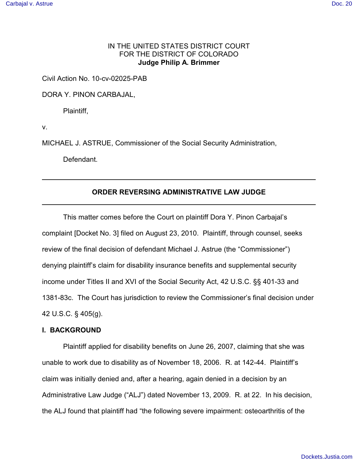# IN THE UNITED STATES DISTRICT COURT FOR THE DISTRICT OF COLORADO **Judge Philip A. Brimmer**

Civil Action No. 10-cv-02025-PAB

DORA Y. PINON CARBAJAL,

Plaintiff,

v.

MICHAEL J. ASTRUE, Commissioner of the Social Security Administration,

Defendant.

# **ORDER REVERSING ADMINISTRATIVE LAW JUDGE**

This matter comes before the Court on plaintiff Dora Y. Pinon Carbajal's complaint [Docket No. 3] filed on August 23, 2010. Plaintiff, through counsel, seeks review of the final decision of defendant Michael J. Astrue (the "Commissioner") denying plaintiff's claim for disability insurance benefits and supplemental security income under Titles II and XVI of the Social Security Act, 42 U.S.C. §§ 401-33 and 1381-83c. The Court has jurisdiction to review the Commissioner's final decision under 42 U.S.C. § 405(g).

#### **I. BACKGROUND**

Plaintiff applied for disability benefits on June 26, 2007, claiming that she was unable to work due to disability as of November 18, 2006. R. at 142-44. Plaintiff's claim was initially denied and, after a hearing, again denied in a decision by an Administrative Law Judge ("ALJ") dated November 13, 2009. R. at 22. In his decision, the ALJ found that plaintiff had "the following severe impairment: osteoarthritis of the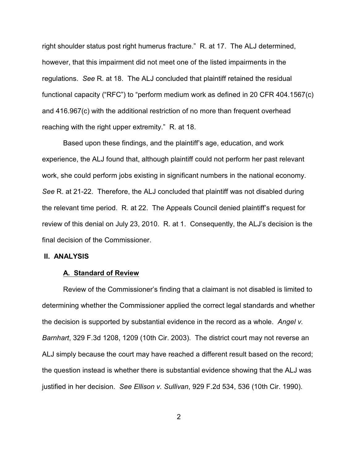right shoulder status post right humerus fracture." R. at 17. The ALJ determined, however, that this impairment did not meet one of the listed impairments in the regulations. *See* R. at 18. The ALJ concluded that plaintiff retained the residual functional capacity ("RFC") to "perform medium work as defined in 20 CFR 404.1567(c) and 416.967(c) with the additional restriction of no more than frequent overhead reaching with the right upper extremity." R. at 18.

Based upon these findings, and the plaintiff's age, education, and work experience, the ALJ found that, although plaintiff could not perform her past relevant work, she could perform jobs existing in significant numbers in the national economy. *See* R. at 21-22. Therefore, the ALJ concluded that plaintiff was not disabled during the relevant time period. R. at 22. The Appeals Council denied plaintiff's request for review of this denial on July 23, 2010. R. at 1. Consequently, the ALJ's decision is the final decision of the Commissioner.

#### **II. ANALYSIS**

### **A. Standard of Review**

Review of the Commissioner's finding that a claimant is not disabled is limited to determining whether the Commissioner applied the correct legal standards and whether the decision is supported by substantial evidence in the record as a whole. *Angel v. Barnhart*, 329 F.3d 1208, 1209 (10th Cir. 2003). The district court may not reverse an ALJ simply because the court may have reached a different result based on the record; the question instead is whether there is substantial evidence showing that the ALJ was justified in her decision. *See Ellison v. Sullivan*, 929 F.2d 534, 536 (10th Cir. 1990).

2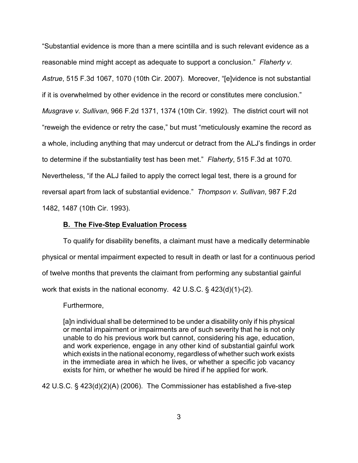"Substantial evidence is more than a mere scintilla and is such relevant evidence as a reasonable mind might accept as adequate to support a conclusion." *Flaherty v. Astrue*, 515 F.3d 1067, 1070 (10th Cir. 2007). Moreover, "[e]vidence is not substantial if it is overwhelmed by other evidence in the record or constitutes mere conclusion." *Musgrave v. Sullivan*, 966 F.2d 1371, 1374 (10th Cir. 1992). The district court will not "reweigh the evidence or retry the case," but must "meticulously examine the record as a whole, including anything that may undercut or detract from the ALJ's findings in order to determine if the substantiality test has been met." *Flaherty*, 515 F.3d at 1070*.*  Nevertheless, "if the ALJ failed to apply the correct legal test, there is a ground for reversal apart from lack of substantial evidence." *Thompson v. Sullivan*, 987 F.2d 1482, 1487 (10th Cir. 1993).

### **B. The Five-Step Evaluation Process**

To qualify for disability benefits, a claimant must have a medically determinable physical or mental impairment expected to result in death or last for a continuous period of twelve months that prevents the claimant from performing any substantial gainful work that exists in the national economy. 42 U.S.C. § 423(d)(1)-(2).

# Furthermore,

[a]n individual shall be determined to be under a disability only if his physical or mental impairment or impairments are of such severity that he is not only unable to do his previous work but cannot, considering his age, education, and work experience, engage in any other kind of substantial gainful work which exists in the national economy, regardless of whether such work exists in the immediate area in which he lives, or whether a specific job vacancy exists for him, or whether he would be hired if he applied for work.

42 U.S.C. § 423(d)(2)(A) (2006). The Commissioner has established a five-step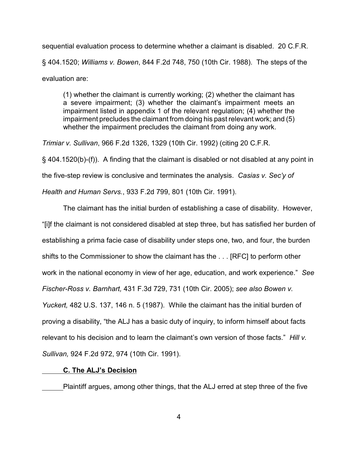sequential evaluation process to determine whether a claimant is disabled. 20 C.F.R. § 404.1520; *Williams v. Bowen*, 844 F.2d 748, 750 (10th Cir. 1988). The steps of the evaluation are:

(1) whether the claimant is currently working; (2) whether the claimant has a severe impairment; (3) whether the claimant's impairment meets an impairment listed in appendix 1 of the relevant regulation; (4) whether the impairment precludes the claimant from doing his past relevant work; and (5) whether the impairment precludes the claimant from doing any work.

*Trimiar v. Sullivan*, 966 F.2d 1326, 1329 (10th Cir. 1992) (citing 20 C.F.R.

§ 404.1520(b)-(f)). A finding that the claimant is disabled or not disabled at any point in the five-step review is conclusive and terminates the analysis. *Casias v. Sec'y of*

*Health and Human Servs.*, 933 F.2d 799, 801 (10th Cir. 1991).

The claimant has the initial burden of establishing a case of disability. However, "[i]f the claimant is not considered disabled at step three, but has satisfied her burden of establishing a prima facie case of disability under steps one, two, and four, the burden shifts to the Commissioner to show the claimant has the . . . [RFC] to perform other work in the national economy in view of her age, education, and work experience." *See Fischer-Ross v. Barnhart,* 431 F.3d 729, 731 (10th Cir. 2005); *see also Bowen v. Yuckert,* 482 U.S. 137, 146 n. 5 (1987). While the claimant has the initial burden of proving a disability, "the ALJ has a basic duty of inquiry, to inform himself about facts relevant to his decision and to learn the claimant's own version of those facts." *Hill v. Sullivan,* 924 F.2d 972, 974 (10th Cir. 1991).

#### **C. The ALJ's Decision**

Plaintiff argues, among other things, that the ALJ erred at step three of the five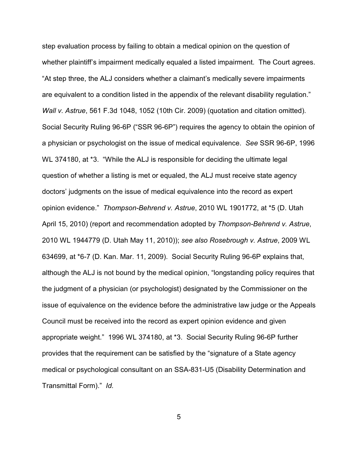step evaluation process by failing to obtain a medical opinion on the question of whether plaintiff's impairment medically equaled a listed impairment. The Court agrees. "At step three, the ALJ considers whether a claimant's medically severe impairments are equivalent to a condition listed in the appendix of the relevant disability regulation." *Wall v. Astrue*, 561 F.3d 1048, 1052 (10th Cir. 2009) (quotation and citation omitted). Social Security Ruling 96-6P ("SSR 96-6P") requires the agency to obtain the opinion of a physician or psychologist on the issue of medical equivalence. *See* SSR 96-6P, 1996 WL 374180, at \*3. "While the ALJ is responsible for deciding the ultimate legal question of whether a listing is met or equaled, the ALJ must receive state agency doctors' judgments on the issue of medical equivalence into the record as expert opinion evidence." *Thompson-Behrend v. Astrue*, 2010 WL 1901772, at \*5 (D. Utah April 15, 2010) (report and recommendation adopted by *Thompson-Behrend v. Astrue*, 2010 WL 1944779 (D. Utah May 11, 2010)); *see also Rosebrough v. Astrue*, 2009 WL 634699, at \*6-7 (D. Kan. Mar. 11, 2009). Social Security Ruling 96-6P explains that, although the ALJ is not bound by the medical opinion, "longstanding policy requires that the judgment of a physician (or psychologist) designated by the Commissioner on the issue of equivalence on the evidence before the administrative law judge or the Appeals Council must be received into the record as expert opinion evidence and given appropriate weight." 1996 WL 374180, at \*3. Social Security Ruling 96-6P further provides that the requirement can be satisfied by the "signature of a State agency medical or psychological consultant on an SSA-831-U5 (Disability Determination and Transmittal Form)." *Id.*

5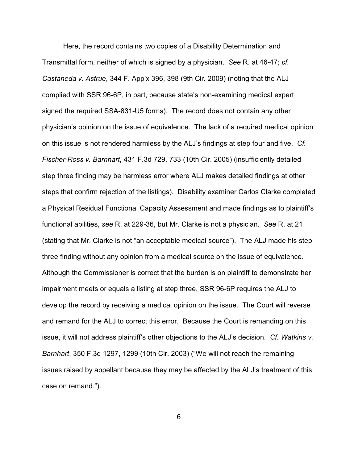Here, the record contains two copies of a Disability Determination and Transmittal form, neither of which is signed by a physician. *See* R. at 46-47; *cf. Castaneda v. Astrue*, 344 F. App'x 396, 398 (9th Cir. 2009) (noting that the ALJ complied with SSR 96-6P, in part, because state's non-examining medical expert signed the required SSA-831-U5 forms). The record does not contain any other physician's opinion on the issue of equivalence. The lack of a required medical opinion on this issue is not rendered harmless by the ALJ's findings at step four and five. *Cf. Fischer-Ross v. Barnhart*, 431 F.3d 729, 733 (10th Cir. 2005) (insufficiently detailed step three finding may be harmless error where ALJ makes detailed findings at other steps that confirm rejection of the listings). Disability examiner Carlos Clarke completed a Physical Residual Functional Capacity Assessment and made findings as to plaintiff's functional abilities, *see* R. at 229-36, but Mr. Clarke is not a physician. *See* R. at 21 (stating that Mr. Clarke is not "an acceptable medical source"). The ALJ made his step three finding without any opinion from a medical source on the issue of equivalence. Although the Commissioner is correct that the burden is on plaintiff to demonstrate her impairment meets or equals a listing at step three, SSR 96-6P requires the ALJ to develop the record by receiving a medical opinion on the issue. The Court will reverse and remand for the ALJ to correct this error. Because the Court is remanding on this issue, it will not address plaintiff's other objections to the ALJ's decision. *Cf. Watkins v. Barnhart*, 350 F.3d 1297, 1299 (10th Cir. 2003) ("We will not reach the remaining issues raised by appellant because they may be affected by the ALJ's treatment of this case on remand.").

6